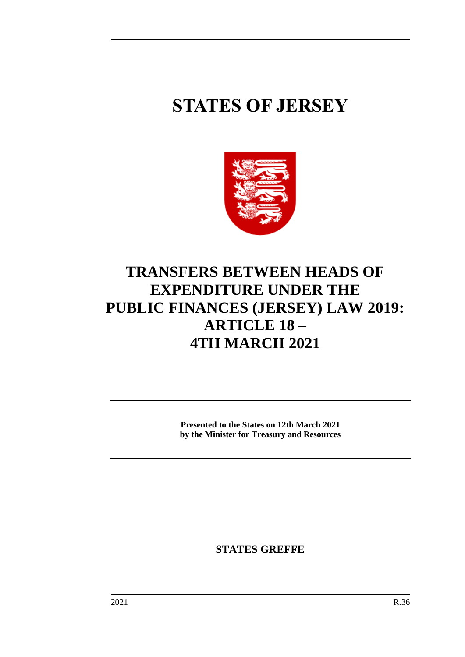# **STATES OF JERSEY**



## **TRANSFERS BETWEEN HEADS OF EXPENDITURE UNDER THE PUBLIC FINANCES (JERSEY) LAW 2019: ARTICLE 18 – 4TH MARCH 2021**

**Presented to the States on 12th March 2021 by the Minister for Treasury and Resources**

**STATES GREFFE**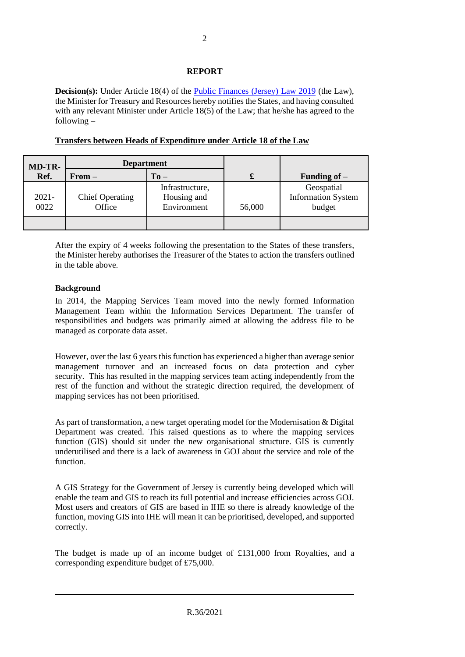#### **REPORT**

**Decision(s):** Under Article 18(4) of the [Public Finances \(Jersey\) Law 2019](https://www.jerseylaw.je/laws/unofficialconsolidated/Pages/24.900.aspx) (the Law), the Minister for Treasury and Resources hereby notifies the States, and having consulted with any relevant Minister under Article 18(5) of the Law; that he/she has agreed to the following –

| <b>MD-TR-</b>    | <b>Department</b>                |                                               |        |                                                   |
|------------------|----------------------------------|-----------------------------------------------|--------|---------------------------------------------------|
| Ref.             | $From -$                         | $To -$                                        | £      | Funding of $-$                                    |
| $2021 -$<br>0022 | <b>Chief Operating</b><br>Office | Infrastructure,<br>Housing and<br>Environment | 56,000 | Geospatial<br><b>Information System</b><br>budget |
|                  |                                  |                                               |        |                                                   |

**Transfers between Heads of Expenditure under Article 18 of the Law**

After the expiry of 4 weeks following the presentation to the States of these transfers, the Minister hereby authorises the Treasurer of the States to action the transfers outlined in the table above.

#### **Background**

In 2014, the Mapping Services Team moved into the newly formed Information Management Team within the Information Services Department. The transfer of responsibilities and budgets was primarily aimed at allowing the address file to be managed as corporate data asset.

However, over the last 6 years this function has experienced a higher than average senior management turnover and an increased focus on data protection and cyber security. This has resulted in the mapping services team acting independently from the rest of the function and without the strategic direction required, the development of mapping services has not been prioritised.

As part of transformation, a new target operating model for the Modernisation & Digital Department was created. This raised questions as to where the mapping services function (GIS) should sit under the new organisational structure. GIS is currently underutilised and there is a lack of awareness in GOJ about the service and role of the function.

A GIS Strategy for the Government of Jersey is currently being developed which will enable the team and GIS to reach its full potential and increase efficiencies across GOJ. Most users and creators of GIS are based in IHE so there is already knowledge of the function, moving GIS into IHE will mean it can be prioritised, developed, and supported correctly.

The budget is made up of an income budget of £131,000 from Royalties, and a corresponding expenditure budget of £75,000.